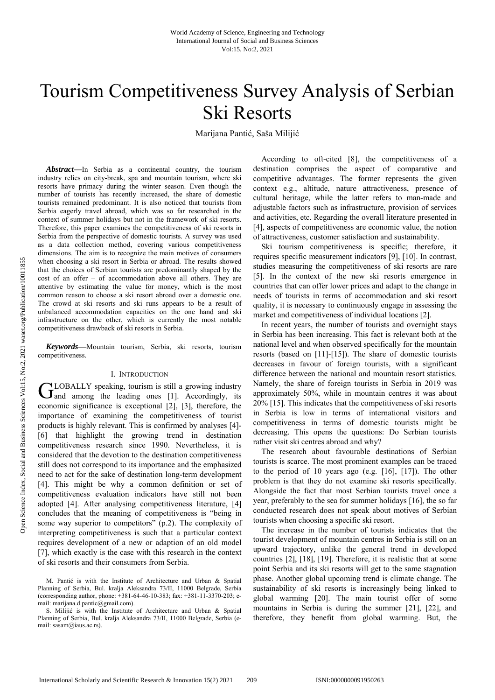# Tourism Competitiveness Survey Analysis of Serbian Ski Resorts

Marijana Pantić, Saša Milijić

*Abstract***—**In Serbia as a continental country, the tourism industry relies on city-break, spa and mountain tourism, where ski resorts have primacy during the winter season. Even though the number of tourists has recently increased, the share of domestic tourists remained predominant. It is also noticed that tourists from Serbia eagerly travel abroad, which was so far researched in the context of summer holidays but not in the framework of ski resorts. Therefore, this paper examines the competitiveness of ski resorts in Serbia from the perspective of domestic tourists. A survey was used as a data collection method, covering various competitiveness dimensions. The aim is to recognize the main motives of consumers when choosing a ski resort in Serbia or abroad. The results showed that the choices of Serbian tourists are predominantly shaped by the cost of an offer – of accommodation above all others. They are attentive by estimating the value for money, which is the most common reason to choose a ski resort abroad over a domestic one. The crowd at ski resorts and ski runs appears to be a result of unbalanced accommodation capacities on the one hand and ski infrastructure on the other, which is currently the most notable competitiveness drawback of ski resorts in Serbia.

*Keywords***—**Mountain tourism, Serbia, ski resorts, tourism competitiveness.

## I. INTRODUCTION

LOBALLY speaking, tourism is still a growing industry GLOBALLY speaking, tourism is still a growing industry<br>
and among the leading ones [1]. Accordingly, its economic significance is exceptional [2], [3], therefore, the importance of examining the competitiveness of tourist products is highly relevant. This is confirmed by analyses [4]- [6] that highlight the growing trend in destination competitiveness research since 1990. Nevertheless, it is considered that the devotion to the destination competitiveness still does not correspond to its importance and the emphasized need to act for the sake of destination long-term development [4]. This might be why a common definition or set of competitiveness evaluation indicators have still not been adopted [4]. After analysing competitiveness literature, [4] concludes that the meaning of competitiveness is "being in some way superior to competitors" (p.2). The complexity of interpreting competitiveness is such that a particular context requires development of a new or adaption of an old model [7], which exactly is the case with this research in the context of ski resorts and their consumers from Serbia.

According to oft-cited [8], the competitiveness of a destination comprises the aspect of comparative and competitive advantages. The former represents the given context e.g., altitude, nature attractiveness, presence of cultural heritage, while the latter refers to man-made and adjustable factors such as infrastructure, provision of services and activities, etc. Regarding the overall literature presented in [4], aspects of competitiveness are economic value, the notion of attractiveness, customer satisfaction and sustainability.

Ski tourism competitiveness is specific; therefore, it requires specific measurement indicators [9], [10]. In contrast, studies measuring the competitiveness of ski resorts are rare [5]. In the context of the new ski resorts emergence in countries that can offer lower prices and adapt to the change in needs of tourists in terms of accommodation and ski resort quality, it is necessary to continuously engage in assessing the market and competitiveness of individual locations [2].

In recent years, the number of tourists and overnight stays in Serbia has been increasing. This fact is relevant both at the national level and when observed specifically for the mountain resorts (based on [11]-[15]). The share of domestic tourists decreases in favour of foreign tourists, with a significant difference between the national and mountain resort statistics. Namely, the share of foreign tourists in Serbia in 2019 was approximately 50%, while in mountain centres it was about 20% [15]. This indicates that the competitiveness of ski resorts in Serbia is low in terms of international visitors and competitiveness in terms of domestic tourists might be decreasing. This opens the questions: Do Serbian tourists rather visit ski centres abroad and why?

The research about favourable destinations of Serbian tourists is scarce. The most prominent examples can be traced to the period of 10 years ago (e.g. [16], [17]). The other problem is that they do not examine ski resorts specifically. Alongside the fact that most Serbian tourists travel once a year, preferably to the sea for summer holidays [16], the so far conducted research does not speak about motives of Serbian tourists when choosing a specific ski resort.

The increase in the number of tourists indicates that the tourist development of mountain centres in Serbia is still on an upward trajectory, unlike the general trend in developed countries [2], [18], [19]. Therefore, it is realistic that at some point Serbia and its ski resorts will get to the same stagnation phase. Another global upcoming trend is climate change. The sustainability of ski resorts is increasingly being linked to global warming [20]. The main tourist offer of some mountains in Serbia is during the summer [21], [22], and therefore, they benefit from global warming. But, the

M. Pantić is with the Institute of Architecture and Urban & Spatial Planning of Serbia, Bul. kralja Aleksandra 73/II, 11000 Belgrade, Serbia (corresponding author, phone: +381-64-46-10-383; fax: +381-11-3370-203; email: marijana.d.pantic@gmail.com).

S. Milijić is with the Institute of Architecture and Urban & Spatial Planning of Serbia, Bul. kralja Aleksandra 73/II, 11000 Belgrade, Serbia (email: sasam@iaus.ac.rs).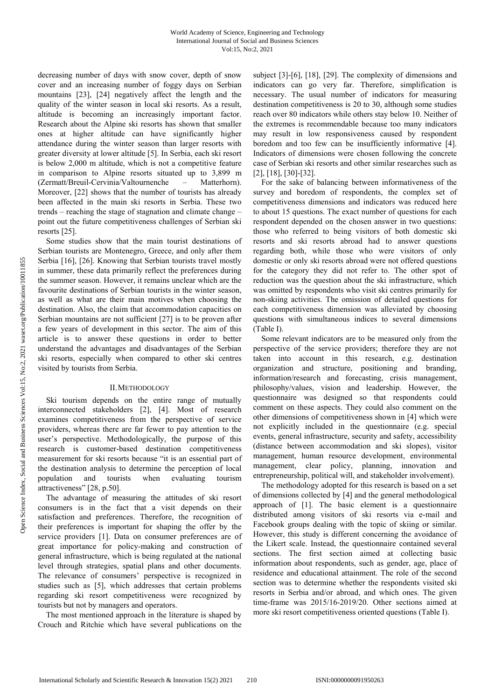decreasing number of days with snow cover, depth of snow cover and an increasing number of foggy days on Serbian mountains [23], [24] negatively affect the length and the quality of the winter season in local ski resorts. As a result, altitude is becoming an increasingly important factor. Research about the Alpine ski resorts has shown that smaller ones at higher altitude can have significantly higher attendance during the winter season than larger resorts with greater diversity at lower altitude [5]. In Serbia, each ski resort is below 2,000 m altitude, which is not a competitive feature in comparison to Alpine resorts situated up to 3,899 m (Zermatt/Breuil-Cervinia/Valtournenche – Matterhorn). Moreover, [22] shows that the number of tourists has already been affected in the main ski resorts in Serbia. These two trends – reaching the stage of stagnation and climate change – point out the future competitiveness challenges of Serbian ski resorts [25].

Some studies show that the main tourist destinations of Serbian tourists are Montenegro, Greece, and only after them Serbia [16], [26]. Knowing that Serbian tourists travel mostly in summer, these data primarily reflect the preferences during the summer season. However, it remains unclear which are the favourite destinations of Serbian tourists in the winter season, as well as what are their main motives when choosing the destination. Also, the claim that accommodation capacities on Serbian mountains are not sufficient [27] is to be proven after a few years of development in this sector. The aim of this article is to answer these questions in order to better understand the advantages and disadvantages of the Serbian ski resorts, especially when compared to other ski centres visited by tourists from Serbia.

# II.METHODOLOGY

Ski tourism depends on the entire range of mutually interconnected stakeholders [2], [4]. Most of research examines competitiveness from the perspective of service providers, whereas there are far fewer to pay attention to the user's perspective. Methodologically, the purpose of this research is customer-based destination competitiveness measurement for ski resorts because "it is an essential part of the destination analysis to determine the perception of local population and tourists when evaluating tourism attractiveness" [28, p.50].

The advantage of measuring the attitudes of ski resort consumers is in the fact that a visit depends on their satisfaction and preferences. Therefore, the recognition of their preferences is important for shaping the offer by the service providers [1]. Data on consumer preferences are of great importance for policy-making and construction of general infrastructure, which is being regulated at the national level through strategies, spatial plans and other documents. The relevance of consumers' perspective is recognized in studies such as [5], which addresses that certain problems regarding ski resort competitiveness were recognized by tourists but not by managers and operators.

The most mentioned approach in the literature is shaped by Crouch and Ritchie which have several publications on the subject [3]-[6], [18], [29]. The complexity of dimensions and indicators can go very far. Therefore, simplification is necessary. The usual number of indicators for measuring destination competitiveness is 20 to 30, although some studies reach over 80 indicators while others stay below 10. Neither of the extremes is recommendable because too many indicators may result in low responsiveness caused by respondent boredom and too few can be insufficiently informative [4]. Indicators of dimensions were chosen following the concrete case of Serbian ski resorts and other similar researches such as [2], [18], [30]-[32].

For the sake of balancing between informativeness of the survey and boredom of respondents, the complex set of competitiveness dimensions and indicators was reduced here to about 15 questions. The exact number of questions for each respondent depended on the chosen answer in two questions: those who referred to being visitors of both domestic ski resorts and ski resorts abroad had to answer questions regarding both, while those who were visitors of only domestic or only ski resorts abroad were not offered questions for the category they did not refer to. The other spot of reduction was the question about the ski infrastructure, which was omitted by respondents who visit ski centres primarily for non-skiing activities. The omission of detailed questions for each competitiveness dimension was alleviated by choosing questions with simultaneous indices to several dimensions (Table I).

Some relevant indicators are to be measured only from the perspective of the service providers; therefore they are not taken into account in this research, e.g. destination organization and structure, positioning and branding, information/research and forecasting, crisis management, philosophy/values, vision and leadership. However, the questionnaire was designed so that respondents could comment on these aspects. They could also comment on the other dimensions of competitiveness shown in [4] which were not explicitly included in the questionnaire (e.g. special events, general infrastructure, security and safety, accessibility (distance between accommodation and ski slopes), visitor management, human resource development, environmental management, clear policy, planning, innovation and entrepreneurship, political will, and stakeholder involvement).

The methodology adopted for this research is based on a set of dimensions collected by [4] and the general methodological approach of [1]. The basic element is a questionnaire distributed among visitors of ski resorts via e-mail and Facebook groups dealing with the topic of skiing or similar. However, this study is different concerning the avoidance of the Likert scale. Instead, the questionnaire contained several sections. The first section aimed at collecting basic information about respondents, such as gender, age, place of residence and educational attainment. The role of the second section was to determine whether the respondents visited ski resorts in Serbia and/or abroad, and which ones. The given time-frame was 2015/16-2019/20. Other sections aimed at more ski resort competitiveness oriented questions (Table I).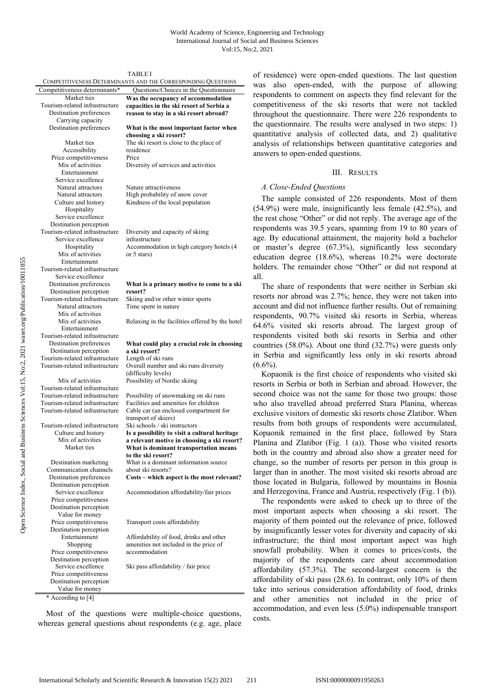|                                                                  | TABLE I                                                                                                |
|------------------------------------------------------------------|--------------------------------------------------------------------------------------------------------|
|                                                                  | COMPETITIVENESS DETERMINANTS AND THE CORRESPONDING QUESTIONS<br>Questions/Choices in the Questionnaire |
| Competitiveness determinants*<br>Market ties                     | Was the occupancy of accommodation                                                                     |
| Tourism-related infrastructure                                   | capacities in the ski resort of Serbia a                                                               |
| Destination preferences                                          | reason to stay in a ski resort abroad?                                                                 |
| Carrying capacity                                                |                                                                                                        |
| Destination preferences                                          | What is the most important factor when                                                                 |
|                                                                  | choosing a ski resort?                                                                                 |
| Market ties<br>Accessibility                                     | The ski resort is close to the place of<br>residence                                                   |
| Price competitiveness                                            | Price                                                                                                  |
| Mix of activities                                                | Diversity of services and activities                                                                   |
| Entertainment                                                    |                                                                                                        |
| Service excellence                                               |                                                                                                        |
| Natural attractors                                               | Nature attractiveness                                                                                  |
| Natural attractors                                               | High probability of snow cover<br>Kindness of the local population                                     |
| Culture and history<br>Hospitality                               |                                                                                                        |
| Service excellence                                               |                                                                                                        |
| Destination perception                                           |                                                                                                        |
| Tourism-related infrastructure                                   | Diversity and capacity of skiing                                                                       |
| Service excellence                                               | infrastructure                                                                                         |
| Hospitality                                                      | Accommodation in high category hotels (4                                                               |
| Mix of activities<br>Entertainment                               | or 5 stars)                                                                                            |
| Tourism-related infrastructure                                   |                                                                                                        |
| Service excellence                                               |                                                                                                        |
| Destination preferences                                          | What is a primary motive to come to a ski                                                              |
| Destination perception                                           | resort?                                                                                                |
| Tourism-related infrastructure                                   | Skiing and/or other winter sports                                                                      |
| Natural attractors<br>Mix of activities                          | Time spent in nature                                                                                   |
| Mix of activities                                                | Relaxing in the facilities offered by the hotel                                                        |
| Entertainment                                                    |                                                                                                        |
| Tourism-related infrastructure                                   |                                                                                                        |
| Destination preferences                                          | What could play a crucial role in choosing                                                             |
| Destination perception                                           | a ski resort?                                                                                          |
| Tourism-related infrastructure<br>Tourism-related infrastructure | Length of ski runs<br>Overall number and ski runs diversity                                            |
|                                                                  | (difficulty levels)                                                                                    |
| Mix of activities                                                | Possibility of Nordic skiing                                                                           |
| Tourism-related infrastructure                                   |                                                                                                        |
| Tourism-related infrastructure                                   | Possibility of snowmaking on ski runs                                                                  |
| Tourism-related infrastructure                                   | Facilities and amenities for children                                                                  |
| Tourism-related infrastructure                                   | Cable car (an enclosed compartment for<br>transport of skiers)                                         |
| Tourism-related infrastructure                                   | Ski schools / ski instructors                                                                          |
| Culture and history                                              | Is a possibility to visit a cultural heritage                                                          |
| Mix of activities                                                | a relevant motive in choosing a ski resort?                                                            |
| Market ties                                                      | What is dominant transportation means                                                                  |
|                                                                  | to the ski resort?                                                                                     |
| Destination marketing<br>Communication channels                  | What is a dominant information source<br>about ski resorts?                                            |
| Destination preferences                                          | Costs - which aspect is the most relevant?                                                             |
| Destination perception                                           |                                                                                                        |
| Service excellence                                               | Accommodation affordability/fair prices                                                                |
| Price competitiveness                                            |                                                                                                        |
| Destination perception                                           |                                                                                                        |
| Value for money<br>Price competitiveness                         | Transport costs affordability                                                                          |
| Destination perception                                           |                                                                                                        |
| Entertainment                                                    | Affordability of food, drinks and other                                                                |
| Shopping                                                         | amenities not included in the price of                                                                 |
| Price competitiveness                                            | accommodation                                                                                          |
| Destination perception                                           |                                                                                                        |
| Service excellence<br>Price competitiveness                      | Ski pass affordability / fair price                                                                    |
| Destination perception                                           |                                                                                                        |
|                                                                  |                                                                                                        |

\* According to [4]

Most of the questions were multiple-choice questions, whereas general questions about respondents (e.g. age, place of residence) were open-ended questions. The last question was also open-ended, with the purpose of allowing respondents to comment on aspects they find relevant for the competitiveness of the ski resorts that were not tackled throughout the questionnaire. There were 226 respondents to the questionnaire. The results were analysed in two steps: 1) quantitative analysis of collected data, and 2) qualitative analysis of relationships between quantitative categories and answers to open-ended questions.

# III. RESULTS

## *A.Close-Ended Questions*

The sample consisted of 226 respondents. Most of them (54.9%) were male, insignificantly less female (42.5%), and the rest chose "Other" or did not reply. The average age of the respondents was 39.5 years, spanning from 19 to 80 years of age. By educational attainment, the majority hold a bachelor or master's degree (67.3%), significantly less secondary education degree (18.6%), whereas 10.2% were doctorate holders. The remainder chose "Other" or did not respond at all.

The share of respondents that were neither in Serbian ski resorts nor abroad was 2.7%; hence, they were not taken into account and did not influence further results. Out of remaining respondents, 90.7% visited ski resorts in Serbia, whereas 64.6% visited ski resorts abroad. The largest group of respondents visited both ski resorts in Serbia and other countries (58.0%). About one third (32.7%) were guests only in Serbia and significantly less only in ski resorts abroad  $(6.6\%)$ .

Kopaonik is the first choice of respondents who visited ski resorts in Serbia or both in Serbian and abroad. However, the second choice was not the same for those two groups: those who also travelled abroad preferred Stara Planina, whereas exclusive visitors of domestic ski resorts chose Zlatibor. When results from both groups of respondents were accumulated, Kopaonik remained in the first place, followed by Stara Planina and Zlatibor (Fig. 1 (a)). Those who visited resorts both in the country and abroad also show a greater need for change, so the number of resorts per person in this group is larger than in another. The most visited ski resorts abroad are those located in Bulgaria, followed by mountains in Bosnia and Herzegovina, France and Austria, respectively (Fig. 1 (b)).

The respondents were asked to check up to three of the most important aspects when choosing a ski resort. The majority of them pointed out the relevance of price, followed by insignificantly lesser votes for diversity and capacity of ski infrastructure; the third most important aspect was high snowfall probability. When it comes to prices/costs, the majority of the respondents care about accommodation affordability (57.3%). The second-largest concern is the affordability of ski pass (28.6). In contrast, only 10% of them take into serious consideration affordability of food, drinks and other amenities not included in the price of accommodation, and even less (5.0%) indispensable transport costs.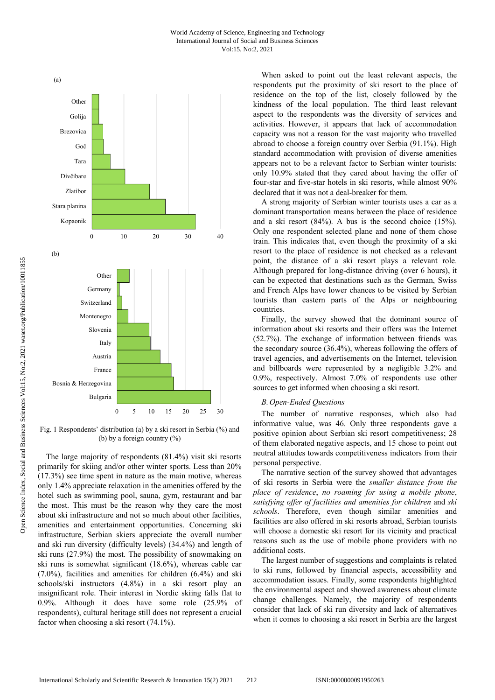

Fig. 1 Respondents' distribution (a) by a ski resort in Serbia (%) and (b) by a foreign country (%)

The large majority of respondents (81.4%) visit ski resorts primarily for skiing and/or other winter sports. Less than 20% (17.3%) see time spent in nature as the main motive, whereas only 1.4% appreciate relaxation in the amenities offered by the hotel such as swimming pool, sauna, gym, restaurant and bar the most. This must be the reason why they care the most about ski infrastructure and not so much about other facilities, amenities and entertainment opportunities. Concerning ski infrastructure, Serbian skiers appreciate the overall number and ski run diversity (difficulty levels) (34.4%) and length of ski runs (27.9%) the most. The possibility of snowmaking on ski runs is somewhat significant (18.6%), whereas cable car (7.0%), facilities and amenities for children (6.4%) and ski schools/ski instructors (4.8%) in a ski resort play an insignificant role. Their interest in Nordic skiing falls flat to 0.9%. Although it does have some role (25.9% of respondents), cultural heritage still does not represent a crucial factor when choosing a ski resort (74.1%).

When asked to point out the least relevant aspects, the respondents put the proximity of ski resort to the place of residence on the top of the list, closely followed by the kindness of the local population. The third least relevant aspect to the respondents was the diversity of services and activities. However, it appears that lack of accommodation capacity was not a reason for the vast majority who travelled abroad to choose a foreign country over Serbia (91.1%). High standard accommodation with provision of diverse amenities appears not to be a relevant factor to Serbian winter tourists: only 10.9% stated that they cared about having the offer of four-star and five-star hotels in ski resorts, while almost 90% declared that it was not a deal-breaker for them.

A strong majority of Serbian winter tourists uses a car as a dominant transportation means between the place of residence and a ski resort (84%). A bus is the second choice (15%). Only one respondent selected plane and none of them chose train. This indicates that, even though the proximity of a ski resort to the place of residence is not checked as a relevant point, the distance of a ski resort plays a relevant role. Although prepared for long-distance driving (over 6 hours), it can be expected that destinations such as the German, Swiss and French Alps have lower chances to be visited by Serbian tourists than eastern parts of the Alps or neighbouring countries.

Finally, the survey showed that the dominant source of information about ski resorts and their offers was the Internet (52.7%). The exchange of information between friends was the secondary source (36.4%), whereas following the offers of travel agencies, and advertisements on the Internet, television and billboards were represented by a negligible 3.2% and 0.9%, respectively. Almost 7.0% of respondents use other sources to get informed when choosing a ski resort.

## *B.Open-Ended Questions*

The number of narrative responses, which also had informative value, was 46. Only three respondents gave a positive opinion about Serbian ski resort competitiveness; 28 of them elaborated negative aspects, and 15 chose to point out neutral attitudes towards competitiveness indicators from their personal perspective.

The narrative section of the survey showed that advantages of ski resorts in Serbia were the *smaller distance from the place of residence*, *no roaming for using a mobile phone*, *satisfying offer of facilities and amenities for children* and *ski schools*. Therefore, even though similar amenities and facilities are also offered in ski resorts abroad, Serbian tourists will choose a domestic ski resort for its vicinity and practical reasons such as the use of mobile phone providers with no additional costs.

The largest number of suggestions and complaints is related to ski runs, followed by financial aspects, accessibility and accommodation issues. Finally, some respondents highlighted the environmental aspect and showed awareness about climate change challenges. Namely, the majority of respondents consider that lack of ski run diversity and lack of alternatives when it comes to choosing a ski resort in Serbia are the largest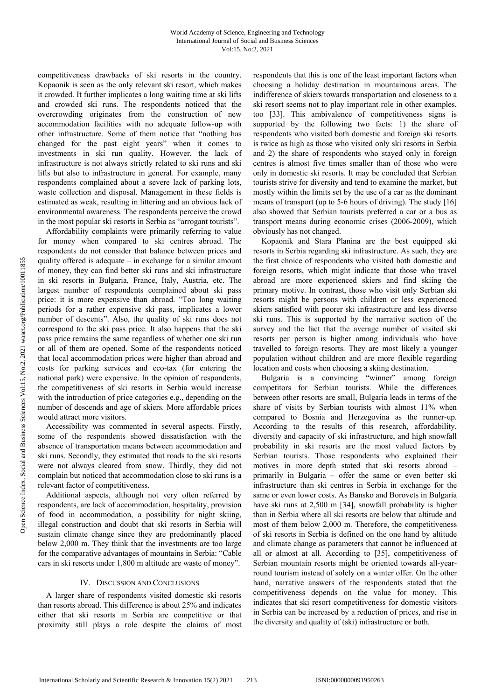competitiveness drawbacks of ski resorts in the country. Kopaonik is seen as the only relevant ski resort, which makes it crowded. It further implicates a long waiting time at ski lifts and crowded ski runs. The respondents noticed that the overcrowding originates from the construction of new accommodation facilities with no adequate follow-up with other infrastructure. Some of them notice that "nothing has changed for the past eight years" when it comes to investments in ski run quality. However, the lack of infrastructure is not always strictly related to ski runs and ski lifts but also to infrastructure in general. For example, many respondents complained about a severe lack of parking lots, waste collection and disposal. Management in these fields is estimated as weak, resulting in littering and an obvious lack of environmental awareness. The respondents perceive the crowd in the most popular ski resorts in Serbia as "arrogant tourists".

Affordability complaints were primarily referring to value for money when compared to ski centres abroad. The respondents do not consider that balance between prices and quality offered is adequate – in exchange for a similar amount of money, they can find better ski runs and ski infrastructure in ski resorts in Bulgaria, France, Italy, Austria, etc. The largest number of respondents complained about ski pass price: it is more expensive than abroad. "Too long waiting periods for a rather expensive ski pass, implicates a lower number of descents". Also, the quality of ski runs does not correspond to the ski pass price. It also happens that the ski pass price remains the same regardless of whether one ski run or all of them are opened. Some of the respondents noticed that local accommodation prices were higher than abroad and costs for parking services and eco-tax (for entering the national park) were expensive. In the opinion of respondents, the competitiveness of ski resorts in Serbia would increase with the introduction of price categories e.g., depending on the number of descends and age of skiers. More affordable prices would attract more visitors.

Accessibility was commented in several aspects. Firstly, some of the respondents showed dissatisfaction with the absence of transportation means between accommodation and ski runs. Secondly, they estimated that roads to the ski resorts were not always cleared from snow. Thirdly, they did not complain but noticed that accommodation close to ski runs is a relevant factor of competitiveness.

Additional aspects, although not very often referred by respondents, are lack of accommodation, hospitality, provision of food in accommodation, a possibility for night skiing, illegal construction and doubt that ski resorts in Serbia will sustain climate change since they are predominantly placed below 2,000 m. They think that the investments are too large for the comparative advantages of mountains in Serbia: "Cable cars in ski resorts under 1,800 m altitude are waste of money".

#### IV. DISCUSSION AND CONCLUSIONS

A larger share of respondents visited domestic ski resorts than resorts abroad. This difference is about 25% and indicates either that ski resorts in Serbia are competitive or that proximity still plays a role despite the claims of most respondents that this is one of the least important factors when choosing a holiday destination in mountainous areas. The indifference of skiers towards transportation and closeness to a ski resort seems not to play important role in other examples, too [33]. This ambivalence of competitiveness signs is supported by the following two facts: 1) the share of respondents who visited both domestic and foreign ski resorts is twice as high as those who visited only ski resorts in Serbia and 2) the share of respondents who stayed only in foreign centres is almost five times smaller than of those who were only in domestic ski resorts. It may be concluded that Serbian tourists strive for diversity and tend to examine the market, but mostly within the limits set by the use of a car as the dominant means of transport (up to 5-6 hours of driving). The study [16] also showed that Serbian tourists preferred a car or a bus as transport means during economic crises (2006-2009), which obviously has not changed.

Kopaonik and Stara Planina are the best equipped ski resorts in Serbia regarding ski infrastructure. As such, they are the first choice of respondents who visited both domestic and foreign resorts, which might indicate that those who travel abroad are more experienced skiers and find skiing the primary motive. In contrast, those who visit only Serbian ski resorts might be persons with children or less experienced skiers satisfied with poorer ski infrastructure and less diverse ski runs. This is supported by the narrative section of the survey and the fact that the average number of visited ski resorts per person is higher among individuals who have travelled to foreign resorts. They are most likely a younger population without children and are more flexible regarding location and costs when choosing a skiing destination.

Bulgaria is a convincing "winner" among foreign competitors for Serbian tourists. While the differences between other resorts are small, Bulgaria leads in terms of the share of visits by Serbian tourists with almost 11% when compared to Bosnia and Herzegovina as the runner-up. According to the results of this research, affordability, diversity and capacity of ski infrastructure, and high snowfall probability in ski resorts are the most valued factors by Serbian tourists. Those respondents who explained their motives in more depth stated that ski resorts abroad – primarily in Bulgaria – offer the same or even better ski infrastructure than ski centres in Serbia in exchange for the same or even lower costs. As Bansko and Borovets in Bulgaria have ski runs at 2,500 m [34], snowfall probability is higher than in Serbia where all ski resorts are below that altitude and most of them below 2,000 m. Therefore, the competitiveness of ski resorts in Serbia is defined on the one hand by altitude and climate change as parameters that cannot be influenced at all or almost at all. According to [35], competitiveness of Serbian mountain resorts might be oriented towards all-yearround tourism instead of solely on a winter offer. On the other hand, narrative answers of the respondents stated that the competitiveness depends on the value for money. This indicates that ski resort competitiveness for domestic visitors in Serbia can be increased by a reduction of prices, and rise in the diversity and quality of (ski) infrastructure or both.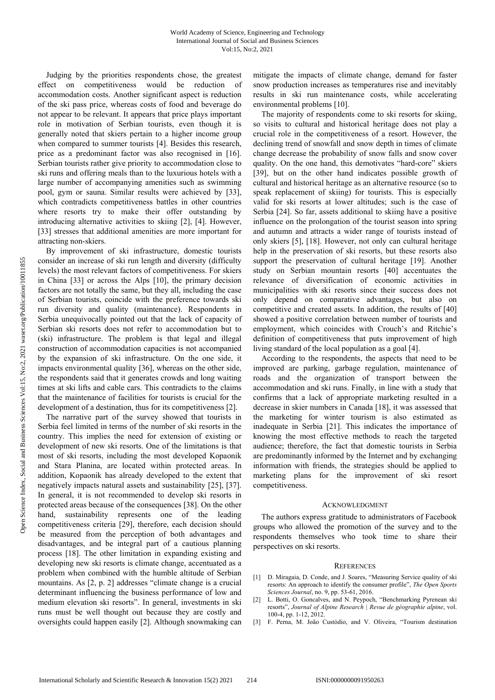Judging by the priorities respondents chose, the greatest effect on competitiveness would be reduction of accommodation costs. Another significant aspect is reduction of the ski pass price, whereas costs of food and beverage do not appear to be relevant. It appears that price plays important role in motivation of Serbian tourists, even though it is generally noted that skiers pertain to a higher income group when compared to summer tourists [4]. Besides this research, price as a predominant factor was also recognised in [16]. Serbian tourists rather give priority to accommodation close to ski runs and offering meals than to the luxurious hotels with a large number of accompanying amenities such as swimming pool, gym or sauna. Similar results were achieved by [33], which contradicts competitiveness battles in other countries where resorts try to make their offer outstanding by introducing alternative activities to skiing [2], [4]. However, [33] stresses that additional amenities are more important for attracting non-skiers.

By improvement of ski infrastructure, domestic tourists consider an increase of ski run length and diversity (difficulty levels) the most relevant factors of competitiveness. For skiers in China [33] or across the Alps [10], the primary decision factors are not totally the same, but they all, including the case of Serbian tourists, coincide with the preference towards ski run diversity and quality (maintenance). Respondents in Serbia unequivocally pointed out that the lack of capacity of Serbian ski resorts does not refer to accommodation but to (ski) infrastructure. The problem is that legal and illegal construction of accommodation capacities is not accompanied by the expansion of ski infrastructure. On the one side, it impacts environmental quality [36], whereas on the other side, the respondents said that it generates crowds and long waiting times at ski lifts and cable cars. This contradicts to the claims that the maintenance of facilities for tourists is crucial for the development of a destination, thus for its competitiveness [2].

The narrative part of the survey showed that tourists in Serbia feel limited in terms of the number of ski resorts in the country. This implies the need for extension of existing or development of new ski resorts. One of the limitations is that most of ski resorts, including the most developed Kopaonik and Stara Planina, are located within protected areas. In addition, Kopaonik has already developed to the extent that negatively impacts natural assets and sustainability [25], [37]. In general, it is not recommended to develop ski resorts in protected areas because of the consequences [38]. On the other hand, sustainability represents one of the leading competitiveness criteria [29], therefore, each decision should be measured from the perception of both advantages and disadvantages, and be integral part of a cautious planning process [18]. The other limitation in expanding existing and developing new ski resorts is climate change, accentuated as a problem when combined with the humble altitude of Serbian mountains. As [2, p. 2] addresses "climate change is a crucial determinant influencing the business performance of low and medium elevation ski resorts". In general, investments in ski runs must be well thought out because they are costly and oversights could happen easily [2]. Although snowmaking can

mitigate the impacts of climate change, demand for faster snow production increases as temperatures rise and inevitably results in ski run maintenance costs, while accelerating environmental problems [10].

The majority of respondents come to ski resorts for skiing, so visits to cultural and historical heritage does not play a crucial role in the competitiveness of a resort. However, the declining trend of snowfall and snow depth in times of climate change decrease the probability of snow falls and snow cover quality. On the one hand, this demotivates "hard-core" skiers [39], but on the other hand indicates possible growth of cultural and historical heritage as an alternative resource (so to speak replacement of skiing) for tourists. This is especially valid for ski resorts at lower altitudes; such is the case of Serbia [24]. So far, assets additional to skiing have a positive influence on the prolongation of the tourist season into spring and autumn and attracts a wider range of tourists instead of only skiers [5], [18]. However, not only can cultural heritage help in the preservation of ski resorts, but these resorts also support the preservation of cultural heritage [19]. Another study on Serbian mountain resorts [40] accentuates the relevance of diversification of economic activities in municipalities with ski resorts since their success does not only depend on comparative advantages, but also on competitive and created assets. In addition, the results of [40] showed a positive correlation between number of tourists and employment, which coincides with Crouch's and Ritchie's definition of competitiveness that puts improvement of high living standard of the local population as a goal [4].

According to the respondents, the aspects that need to be improved are parking, garbage regulation, maintenance of roads and the organization of transport between the accommodation and ski runs. Finally, in line with a study that confirms that a lack of appropriate marketing resulted in a decrease in skier numbers in Canada [18], it was assessed that the marketing for winter tourism is also estimated as inadequate in Serbia [21]. This indicates the importance of knowing the most effective methods to reach the targeted audience; therefore, the fact that domestic tourists in Serbia are predominantly informed by the Internet and by exchanging information with friends, the strategies should be applied to marketing plans for the improvement of ski resort competitiveness.

### ACKNOWLEDGMENT

The authors express gratitude to administrators of Facebook groups who allowed the promotion of the survey and to the respondents themselves who took time to share their perspectives on ski resorts.

#### **REFERENCES**

- [1] D. Miragaia, D. Conde, and J. Soares, "Measuring Service quality of ski resorts: An approach to identify the consumer profile", *The Open Sports Sciences Journal*, no. 9, pp. 53-61, 2016.
- [2] L. Botti, O. Goncalves, and N. Peypoch, "Benchmarking Pyrenean ski resorts", *Journal of Alpine Research | Revue de géographie alpine*, vol. 100-4, pp. 1-12, 2012.
- [3] F. Perna, M. João Custódio, and V. Oliveira, "Tourism destination